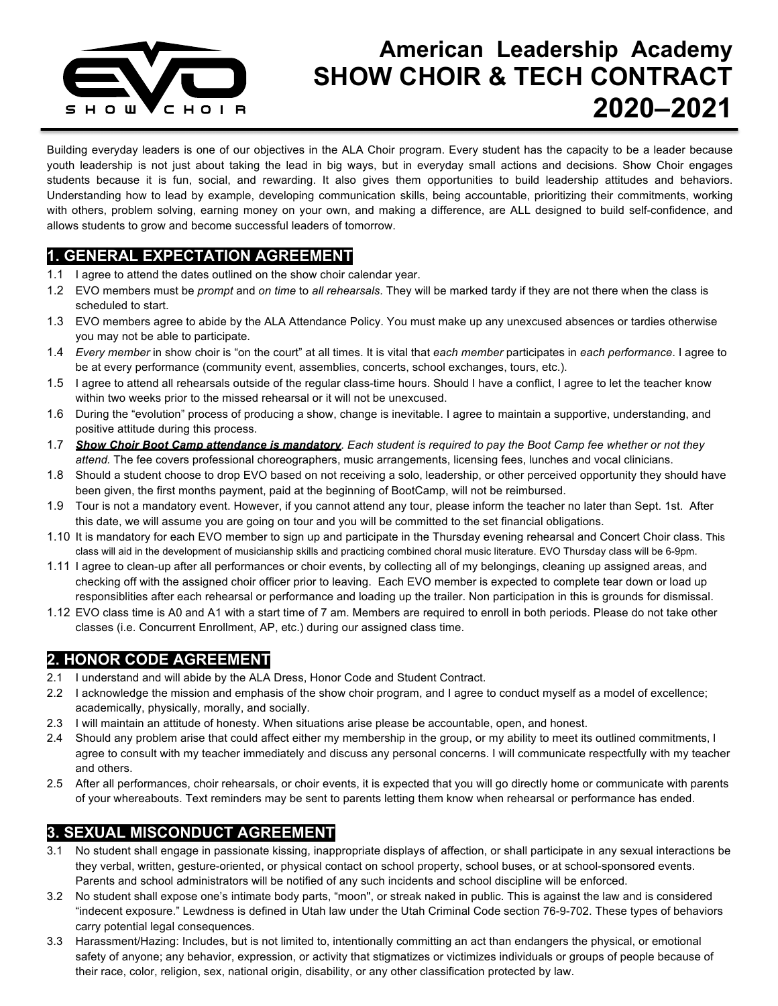

# **American Leadership Academy SHOW CHOIR & TECH CONTRACT 2020–2021**

Building everyday leaders is one of our objectives in the ALA Choir program. Every student has the capacity to be a leader because youth leadership is not just about taking the lead in big ways, but in everyday small actions and decisions. Show Choir engages students because it is fun, social, and rewarding. It also gives them opportunities to build leadership attitudes and behaviors. Understanding how to lead by example, developing communication skills, being accountable, prioritizing their commitments, working with others, problem solving, earning money on your own, and making a difference, are ALL designed to build self-confidence, and allows students to grow and become successful leaders of tomorrow.

#### **1. GENERAL EXPECTATION AGREEMENT**

- 1.1 I agree to attend the dates outlined on the show choir calendar year.
- 1.2 EVO members must be *prompt* and *on time* to *all rehearsals*. They will be marked tardy if they are not there when the class is scheduled to start.
- 1.3 EVO members agree to abide by the ALA Attendance Policy. You must make up any unexcused absences or tardies otherwise you may not be able to participate.
- 1.4 *Every member* in show choir is "on the court" at all times. It is vital that *each member* participates in *each performance*. I agree to be at every performance (community event, assemblies, concerts, school exchanges, tours, etc.).
- 1.5 I agree to attend all rehearsals outside of the regular class-time hours. Should I have a conflict, I agree to let the teacher know within two weeks prior to the missed rehearsal or it will not be unexcused.
- 1.6 During the "evolution" process of producing a show, change is inevitable. I agree to maintain a supportive, understanding, and positive attitude during this process.
- 1.7 *Show Choir Boot Camp attendance is mandatory*. *Each student is required to pay the Boot Camp fee whether or not they attend.* The fee covers professional choreographers, music arrangements, licensing fees, lunches and vocal clinicians.
- 1.8 Should a student choose to drop EVO based on not receiving a solo, leadership, or other perceived opportunity they should have been given, the first months payment, paid at the beginning of BootCamp, will not be reimbursed.
- 1.9 Tour is not a mandatory event. However, if you cannot attend any tour, please inform the teacher no later than Sept. 1st. After this date, we will assume you are going on tour and you will be committed to the set financial obligations.
- 1.10 It is mandatory for each EVO member to sign up and participate in the Thursday evening rehearsal and Concert Choir class. This class will aid in the development of musicianship skills and practicing combined choral music literature. EVO Thursday class will be 6-9pm.
- 1.11 I agree to clean-up after all performances or choir events, by collecting all of my belongings, cleaning up assigned areas, and checking off with the assigned choir officer prior to leaving. Each EVO member is expected to complete tear down or load up responsiblities after each rehearsal or performance and loading up the trailer. Non participation in this is grounds for dismissal.
- 1.12 EVO class time is A0 and A1 with a start time of 7 am. Members are required to enroll in both periods. Please do not take other classes (i.e. Concurrent Enrollment, AP, etc.) during our assigned class time.

#### **2. HONOR CODE AGREEMENT**

- 2.1 I understand and will abide by the ALA Dress, Honor Code and Student Contract.
- 2.2 I acknowledge the mission and emphasis of the show choir program, and I agree to conduct myself as a model of excellence; academically, physically, morally, and socially.
- 2.3 I will maintain an attitude of honesty. When situations arise please be accountable, open, and honest.
- 2.4 Should any problem arise that could affect either my membership in the group, or my ability to meet its outlined commitments, I agree to consult with my teacher immediately and discuss any personal concerns. I will communicate respectfully with my teacher and others.
- 2.5 After all performances, choir rehearsals, or choir events, it is expected that you will go directly home or communicate with parents of your whereabouts. Text reminders may be sent to parents letting them know when rehearsal or performance has ended.

#### **3. SEXUAL MISCONDUCT AGREEMENT**

- 3.1 No student shall engage in passionate kissing, inappropriate displays of affection, or shall participate in any sexual interactions be they verbal, written, gesture-oriented, or physical contact on school property, school buses, or at school-sponsored events. Parents and school administrators will be notified of any such incidents and school discipline will be enforced.
- 3.2 No student shall expose one's intimate body parts, "moon", or streak naked in public. This is against the law and is considered "indecent exposure." Lewdness is defined in Utah law under the Utah Criminal Code section 76-9-702. These types of behaviors carry potential legal consequences.
- 3.3 Harassment/Hazing: Includes, but is not limited to, intentionally committing an act than endangers the physical, or emotional safety of anyone; any behavior, expression, or activity that stigmatizes or victimizes individuals or groups of people because of their race, color, religion, sex, national origin, disability, or any other classification protected by law.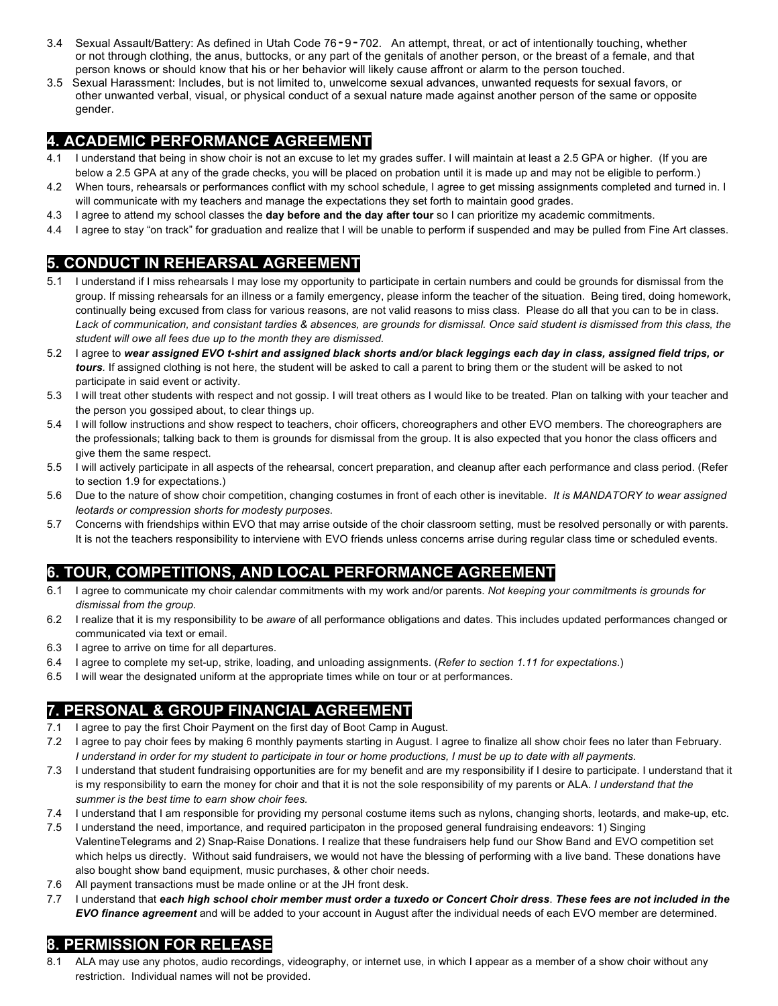- 3.4 Sexual Assault/Battery: As defined in Utah Code 76‐9‐702. An attempt, threat, or act of intentionally touching, whether or not through clothing, the anus, buttocks, or any part of the genitals of another person, or the breast of a female, and that person knows or should know that his or her behavior will likely cause affront or alarm to the person touched.
- 3.5 Sexual Harassment: Includes, but is not limited to, unwelcome sexual advances, unwanted requests for sexual favors, or other unwanted verbal, visual, or physical conduct of a sexual nature made against another person of the same or opposite gender.

#### **4. ACADEMIC PERFORMANCE AGREEMENT**

- 4.1 I understand that being in show choir is not an excuse to let my grades suffer. I will maintain at least a 2.5 GPA or higher. (If you are below a 2.5 GPA at any of the grade checks, you will be placed on probation until it is made up and may not be eligible to perform.)
- 4.2 When tours, rehearsals or performances conflict with my school schedule, I agree to get missing assignments completed and turned in. I will communicate with my teachers and manage the expectations they set forth to maintain good grades.
- 4.3 I agree to attend my school classes the **day before and the day after tour** so I can prioritize my academic commitments.
- 4.4 I agree to stay "on track" for graduation and realize that I will be unable to perform if suspended and may be pulled from Fine Art classes.

#### **5. CONDUCT IN REHEARSAL AGREEMENT**

- 5.1 I understand if I miss rehearsals I may lose my opportunity to participate in certain numbers and could be grounds for dismissal from the group. If missing rehearsals for an illness or a family emergency, please inform the teacher of the situation. Being tired, doing homework, continually being excused from class for various reasons, are not valid reasons to miss class. Please do all that you can to be in class. *Lack of communication, and consistant tardies & absences, are grounds for dismissal. Once said student is dismissed from this class, the student will owe all fees due up to the month they are dismissed.*
- 5.2 I agree to *wear assigned EVO t-shirt and assigned black shorts and/or black leggings each day in class, assigned field trips, or tours.* If assigned clothing is not here, the student will be asked to call a parent to bring them or the student will be asked to not participate in said event or activity.
- 5.3 I will treat other students with respect and not gossip. I will treat others as I would like to be treated. Plan on talking with your teacher and the person you gossiped about, to clear things up.
- 5.4 I will follow instructions and show respect to teachers, choir officers, choreographers and other EVO members. The choreographers are the professionals; talking back to them is grounds for dismissal from the group. It is also expected that you honor the class officers and give them the same respect.
- 5.5 I will actively participate in all aspects of the rehearsal, concert preparation, and cleanup after each performance and class period. (Refer to section 1.9 for expectations.)
- 5.6 Due to the nature of show choir competition, changing costumes in front of each other is inevitable. *It is MANDATORY to wear assigned leotards or compression shorts for modesty purposes.*
- 5.7 Concerns with friendships within EVO that may arrise outside of the choir classroom setting, must be resolved personally or with parents. It is not the teachers responsibility to interviene with EVO friends unless concerns arrise during regular class time or scheduled events.

### **6. TOUR, COMPETITIONS, AND LOCAL PERFORMANCE AGREEMENT**

- 6.1 I agree to communicate my choir calendar commitments with my work and/or parents. *Not keeping your commitments is grounds for dismissal from the group.*
- 6.2 I realize that it is my responsibility to be *aware* of all performance obligations and dates. This includes updated performances changed or communicated via text or email.
- 6.3 I agree to arrive on time for all departures.
- 6.4 I agree to complete my set-up, strike, loading, and unloading assignments. (*Refer to section 1.11 for expectations*.)
- 6.5 I will wear the designated uniform at the appropriate times while on tour or at performances.

#### **7. PERSONAL & GROUP FINANCIAL AGREEMENT**

- 7.1 I agree to pay the first Choir Payment on the first day of Boot Camp in August.
- 7.2 I agree to pay choir fees by making 6 monthly payments starting in August. I agree to finalize all show choir fees no later than February. *I understand in order for my student to participate in tour or home productions, I must be up to date with all payments.*
- 7.3 I understand that student fundraising opportunities are for my benefit and are my responsibility if I desire to participate. I understand that it is my responsibility to earn the money for choir and that it is not the sole responsibility of my parents or ALA. *I understand that the summer is the best time to earn show choir fees.*
- 7.4 I understand that I am responsible for providing my personal costume items such as nylons, changing shorts, leotards, and make-up, etc.
- 7.5 I understand the need, importance, and required participaton in the proposed general fundraising endeavors: 1) Singing ValentineTelegrams and 2) Snap-Raise Donations. I realize that these fundraisers help fund our Show Band and EVO competition set which helps us directly. Without said fundraisers, we would not have the blessing of performing with a live band. These donations have also bought show band equipment, music purchases, & other choir needs.
- 7.6 All payment transactions must be made online or at the JH front desk.
- 7.7 I understand that *each high school choir member must order a tuxedo or Concert Choir dress*. *These fees are not included in the EVO finance agreement* and will be added to your account in August after the individual needs of each EVO member are determined.

#### **8. PERMISSION FOR RELEASE**

ALA may use any photos, audio recordings, videography, or internet use, in which I appear as a member of a show choir without any restriction. Individual names will not be provided.